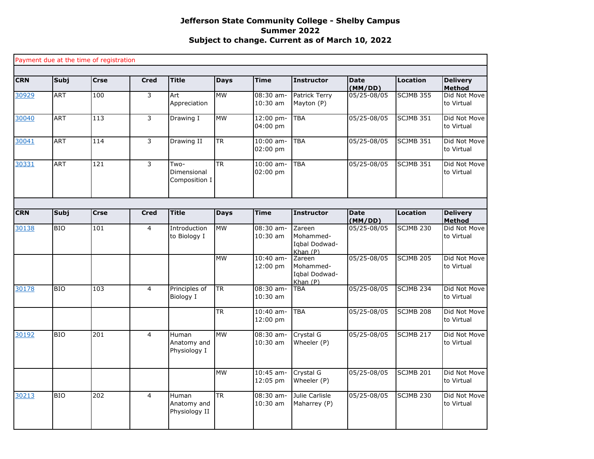|            |            | Payment due at the time of registration |                |                                       |             |                         |                                                 |                        |                  |                                             |
|------------|------------|-----------------------------------------|----------------|---------------------------------------|-------------|-------------------------|-------------------------------------------------|------------------------|------------------|---------------------------------------------|
| <b>CRN</b> | Subj       | <b>Crse</b>                             | <b>Cred</b>    | <b>Title</b>                          | <b>Days</b> | <b>Time</b>             | <b>Instructor</b>                               | <b>Date</b>            | <b>Location</b>  | <b>Delivery</b>                             |
| 30929      | <b>ART</b> | 100                                     | 3              | Art<br>Appreciation                   | <b>MW</b>   | 08:30 am-<br>10:30 am   | Patrick Terry<br>Mayton (P)                     | (MM/DD)<br>05/25-08/05 | <b>SCJMB 355</b> | <b>Method</b><br>Did Not Move<br>to Virtual |
| 30040      | <b>ART</b> | 113                                     | 3              | Drawing I                             | <b>MW</b>   | 12:00 pm-<br>04:00 pm   | TBA                                             | 05/25-08/05            | <b>SCJMB 351</b> | Did Not Move<br>to Virtual                  |
| 30041      | <b>ART</b> | 114                                     | 3              | Drawing II                            | <b>TR</b>   | $10:00$ am-<br>02:00 pm | <b>TBA</b>                                      | 05/25-08/05            | <b>SCJMB 351</b> | Did Not Move<br>to Virtual                  |
| 30331      | <b>ART</b> | 121                                     | 3              | Two-<br>Dimensional<br>Composition I  | <b>TR</b>   | $10:00$ am-<br>02:00 pm | <b>TBA</b>                                      | 05/25-08/05            | <b>SCJMB 351</b> | Did Not Move<br>to Virtual                  |
|            |            |                                         |                |                                       |             |                         |                                                 |                        |                  |                                             |
| <b>CRN</b> | Subj       | <b>Crse</b>                             | <b>Cred</b>    | <b>Title</b>                          | <b>Days</b> | <b>Time</b>             | <b>Instructor</b>                               | <b>Date</b><br>(MM/DD) | <b>Location</b>  | <b>Delivery</b><br><b>Method</b>            |
| 30138      | <b>BIO</b> | 101                                     | $\overline{4}$ | Introduction<br>to Biology I          | <b>MW</b>   | $08:30$ am-<br>10:30 am | Zareen<br>Mohammed-<br>Iqbal Dodwad-<br>Khan(P) | 05/25-08/05            | <b>SCJMB 230</b> | Did Not Move<br>to Virtual                  |
|            |            |                                         |                |                                       | <b>MW</b>   | $10:40$ am-<br>12:00 pm | Zareen<br>Mohammed-<br>Iqbal Dodwad-<br>Khan(P) | 05/25-08/05            | <b>SCJMB 205</b> | Did Not Move<br>to Virtual                  |
| 30178      | <b>BIO</b> | 103                                     | $\overline{4}$ | Principles of<br>Biology I            | <b>TR</b>   | 08:30 am-<br>$10:30$ am | <b>TBA</b>                                      | 05/25-08/05            | <b>SCJMB 234</b> | Did Not Move<br>to Virtual                  |
|            |            |                                         |                |                                       | <b>TR</b>   | 10:40 am-<br>12:00 pm   | <b>TBA</b>                                      | 05/25-08/05            | <b>SCJMB 208</b> | Did Not Move<br>to Virtual                  |
| 30192      | <b>BIO</b> | 201                                     | $\overline{4}$ | Human<br>Anatomy and<br>Physiology I  | <b>MW</b>   | 08:30 am-<br>$10:30$ am | Crystal G<br>Wheeler (P)                        | 05/25-08/05            | <b>SCJMB 217</b> | Did Not Move<br>to Virtual                  |
|            |            |                                         |                |                                       | <b>MW</b>   | $10:45$ am-<br>12:05 pm | Crystal G<br>Wheeler (P)                        | 05/25-08/05            | <b>SCJMB 201</b> | Did Not Move<br>to Virtual                  |
| 30213      | <b>BIO</b> | 202                                     | $\overline{4}$ | Human<br>Anatomy and<br>Physiology II | <b>TR</b>   | 08:30 am-<br>$10:30$ am | Julie Carlisle<br>Maharrey (P)                  | 05/25-08/05            | SCJMB 230        | Did Not Move<br>to Virtual                  |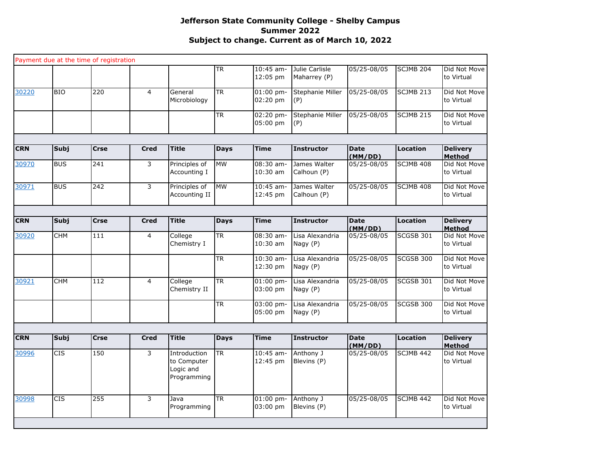|            |             | Payment due at the time of registration |                |                                                         |                          |                         |                                |                        |                  |                                  |
|------------|-------------|-----------------------------------------|----------------|---------------------------------------------------------|--------------------------|-------------------------|--------------------------------|------------------------|------------------|----------------------------------|
|            |             |                                         |                |                                                         | $\overline{\mathsf{TR}}$ | 10:45 am-<br>12:05 pm   | Julie Carlisle<br>Maharrey (P) | 05/25-08/05            | <b>SCJMB 204</b> | Did Not Move<br>to Virtual       |
| 30220      | <b>BIO</b>  | $\overline{220}$                        | $\overline{4}$ | General<br>Microbiology                                 | $\overline{\mathsf{TR}}$ | $01:00$ pm-<br>02:20 pm | Stephanie Miller<br>(P)        | 05/25-08/05            | SCJMB 213        | Did Not Move<br>to Virtual       |
|            |             |                                         |                |                                                         | <b>TR</b>                | 02:20 pm-<br>05:00 pm   | Stephanie Miller<br>(P)        | 05/25-08/05            | SCJMB 215        | Did Not Move<br>to Virtual       |
|            |             |                                         |                |                                                         |                          |                         |                                |                        |                  |                                  |
| <b>CRN</b> | <b>Subj</b> | <b>Crse</b>                             | <b>Cred</b>    | <b>Title</b>                                            | <b>Days</b>              | <b>Time</b>             | <b>Instructor</b>              | <b>Date</b><br>(MM/DD) | Location         | <b>Delivery</b><br>Method        |
| 30970      | <b>BUS</b>  | 241                                     | 3              | Principles of<br>Accounting I                           | <b>MW</b>                | $08:30$ am-<br>10:30 am | James Walter<br>Calhoun (P)    | 05/25-08/05            | SCJMB 408        | Did Not Move<br>to Virtual       |
| 30971      | <b>BUS</b>  | 242                                     | 3              | Principles of<br>Accounting II                          | <b>MW</b>                | $10:45$ am-<br>12:45 pm | James Walter<br>Calhoun (P)    | 05/25-08/05            | SCJMB 408        | Did Not Move<br>to Virtual       |
|            |             |                                         |                |                                                         |                          |                         |                                |                        |                  |                                  |
| <b>CRN</b> | Subj        | Crse                                    | <b>Cred</b>    | <b>Title</b>                                            | <b>Days</b>              | <b>Time</b>             | <b>Instructor</b>              | <b>Date</b><br>(MM/DD) | Location         | <b>Delivery</b><br><b>Method</b> |
| 30920      | <b>CHM</b>  | 111                                     | $\overline{4}$ | College<br>Chemistry I                                  | <b>TR</b>                | 08:30 am-<br>10:30 am   | Lisa Alexandria<br>Nagy (P)    | 05/25-08/05            | <b>SCGSB 301</b> | Did Not Move<br>to Virtual       |
|            |             |                                         |                |                                                         | <b>TR</b>                | $10:30$ am-<br>12:30 pm | Lisa Alexandria<br>Nagy (P)    | 05/25-08/05            | SCGSB 300        | Did Not Move<br>to Virtual       |
| 30921      | CHM         | 112                                     | $\overline{4}$ | College<br>Chemistry II                                 | $\overline{\mathsf{TR}}$ | $01:00$ pm-<br>03:00 pm | Lisa Alexandria<br>Nagy (P)    | 05/25-08/05            | SCGSB 301        | Did Not Move<br>to Virtual       |
|            |             |                                         |                |                                                         | <b>TR</b>                | 03:00 pm-<br>05:00 pm   | Lisa Alexandria<br>Nagy (P)    | 05/25-08/05            | SCGSB 300        | Did Not Move<br>to Virtual       |
|            |             |                                         |                |                                                         |                          |                         |                                |                        |                  |                                  |
| <b>CRN</b> | Subj        | <b>Crse</b>                             | <b>Cred</b>    | <b>Title</b>                                            | <b>Days</b>              | <b>Time</b>             | <b>Instructor</b>              | <b>Date</b><br>(MM/DD) | Location         | <b>Delivery</b><br><b>Method</b> |
| 30996      | <b>CIS</b>  | 150                                     | 3              | Introduction<br>to Computer<br>Logic and<br>Programming | <b>TR</b>                | $10:45$ am-<br>12:45 pm | Anthony J<br>Blevins (P)       | 05/25-08/05            | SCJMB 442        | Did Not Move<br>to Virtual       |
| 30998      | <b>CIS</b>  | 255                                     | $\overline{3}$ | Java<br>Programming                                     | <b>TR</b>                | 01:00 pm-<br>03:00 pm   | Anthony J<br>Blevins (P)       | 05/25-08/05            | SCJMB 442        | Did Not Move<br>to Virtual       |
|            |             |                                         |                |                                                         |                          |                         |                                |                        |                  |                                  |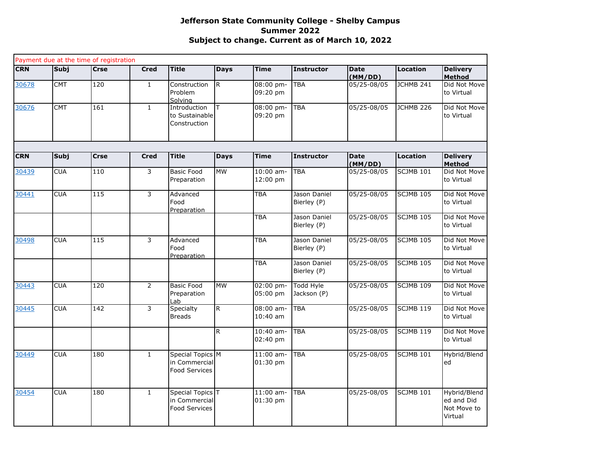| <b>CRN</b> | Subj        | Payment due at the time of registration<br><b>Crse</b> | <b>Cred</b>    | <b>Title</b>                                              | <b>Days</b>  | <b>Time</b>               | <b>Instructor</b>               | <b>Date</b>            | Location             | <b>Delivery</b>                                      |
|------------|-------------|--------------------------------------------------------|----------------|-----------------------------------------------------------|--------------|---------------------------|---------------------------------|------------------------|----------------------|------------------------------------------------------|
|            |             |                                                        |                |                                                           |              |                           |                                 | (MM/DD)                |                      | Method                                               |
| 30678      | <b>CMT</b>  | 120                                                    | $\mathbf{1}$   | Construction<br>Problem<br>Solvina                        | $\mathsf{R}$ | 08:00 pm-<br>09:20 pm     | <b>TBA</b>                      | 05/25-08/05            | JCHMB 241            | Did Not Move<br>to Virtual                           |
| 30676      | <b>CMT</b>  | 161                                                    | $\mathbf{1}$   | Introduction<br>to Sustainable<br>Construction            | T.           | 08:00 pm-<br>09:20 pm     | <b>TBA</b>                      | 05/25-08/05            | JCHMB <sub>226</sub> | Did Not Move<br>to Virtual                           |
| <b>CRN</b> | <b>Subj</b> | <b>Crse</b>                                            | <b>Cred</b>    | <b>Title</b>                                              | <b>Days</b>  | <b>Time</b>               | <b>Instructor</b>               | <b>Date</b>            | Location             | <b>Delivery</b>                                      |
| 30439      | <b>CUA</b>  | 110                                                    | 3              | <b>Basic Food</b><br>Preparation                          | <b>MW</b>    | $10:00$ am-<br>12:00 pm   | <b>TBA</b>                      | (MM/DD)<br>05/25-08/05 | SCJMB 101            | <b>Method</b><br>Did Not Move<br>to Virtual          |
| 30441      | <b>CUA</b>  | $\frac{115}{115}$                                      | 3              | Advanced<br>Food<br>Preparation                           |              | <b>TBA</b>                | Jason Daniel<br>Bierley (P)     | 05/25-08/05            | $SCJMB$ 105          | Did Not Move<br>to Virtual                           |
|            |             |                                                        |                |                                                           |              | <b>TBA</b>                | Jason Daniel<br>Bierley (P)     | 05/25-08/05            | <b>SCJMB 105</b>     | Did Not Move<br>to Virtual                           |
| 30498      | <b>CUA</b>  | 115                                                    | 3              | Advanced<br>Food<br>Preparation                           |              | <b>TBA</b>                | Jason Daniel<br>Bierley (P)     | 05/25-08/05            | <b>SCJMB 105</b>     | Did Not Move<br>to Virtual                           |
|            |             |                                                        |                |                                                           |              | <b>TBA</b>                | Jason Daniel<br>Bierley (P)     | 05/25-08/05            | <b>SCJMB 105</b>     | Did Not Move<br>to Virtual                           |
| 30443      | <b>CUA</b>  | 120                                                    | $\overline{2}$ | <b>Basic Food</b><br>Preparation<br>Lab                   | <b>MW</b>    | 02:00 pm-<br>05:00 pm     | <b>Todd Hyle</b><br>Jackson (P) | 05/25-08/05            | <b>SCJMB 109</b>     | Did Not Move<br>to Virtual                           |
| 30445      | <b>CUA</b>  | 142                                                    | 3              | Specialty<br><b>Breads</b>                                | R            | $08:00$ am-<br>$10:40$ am | <b>TBA</b>                      | 05/25-08/05            | <b>SCJMB 119</b>     | Did Not Move<br>to Virtual                           |
|            |             |                                                        |                |                                                           | R            | $10:40$ am-<br>$02:40$ pm | <b>TBA</b>                      | 05/25-08/05            | <b>SCJMB 119</b>     | Did Not Move<br>to Virtual                           |
| 30449      | <b>CUA</b>  | 180                                                    | $\mathbf{1}$   | Special Topics M<br>in Commercial<br><b>Food Services</b> |              | $11:00$ am-<br>$01:30$ pm | <b>TBA</b>                      | 05/25-08/05            | <b>SCJMB 101</b>     | Hybrid/Blend<br>ed                                   |
| 30454      | <b>CUA</b>  | 180                                                    | $\mathbf{1}$   | Special Topics T<br>in Commercial<br><b>Food Services</b> |              | $11:00$ am-<br>01:30 pm   | <b>TBA</b>                      | 05/25-08/05            | <b>SCJMB 101</b>     | Hybrid/Blend<br>ed and Did<br>Not Move to<br>Virtual |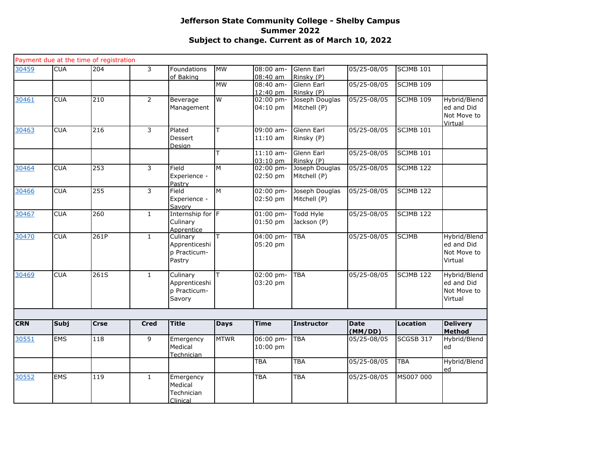|            |            | Payment due at the time of registration |                |                                                     |                |                                     |                                              |                 |                  |                                                      |
|------------|------------|-----------------------------------------|----------------|-----------------------------------------------------|----------------|-------------------------------------|----------------------------------------------|-----------------|------------------|------------------------------------------------------|
| 30459      | <b>CUA</b> | 204                                     | 3              | Foundations<br>of Baking                            | <b>MW</b>      | 08:00 am-<br>08:40 am               | Glenn Earl<br>Rinsky (P)                     | 05/25-08/05     | <b>SCJMB 101</b> |                                                      |
|            |            |                                         |                |                                                     | <b>MW</b>      | 08:40 am-<br>12:40 pm               | Glenn Earl<br>Rinsky (P)                     | 05/25-08/05     | SCJMB 109        |                                                      |
| 30461      | <b>CUA</b> | 210                                     | $\overline{2}$ | Beverage<br>Management                              | $\overline{W}$ | 02:00 pm-<br>04:10 pm               | Joseph Douglas<br>Mitchell (P)               | 05/25-08/05     | <b>SCJMB 109</b> | Hybrid/Blend<br>ed and Did<br>Not Move to<br>Virtual |
| 30463      | <b>CUA</b> | 216                                     | 3              | Plated<br>Dessert<br>Design                         | ΙT             | 09:00 am-<br>$11:10$ am             | Glenn Earl<br>Rinsky (P)                     | 05/25-08/05     | <b>SCJMB 101</b> |                                                      |
|            |            |                                         |                |                                                     | T              | $11:10$ am-                         | Glenn Earl                                   | 05/25-08/05     | <b>SCJMB 101</b> |                                                      |
| 30464      | <b>CUA</b> | 253                                     | 3              | Field<br>Experience -<br>Pastry                     | M              | 03:10 pm<br>$02:00$ pm-<br>02:50 pm | Rinsky (P)<br>Joseph Douglas<br>Mitchell (P) | $05/25 - 08/05$ | <b>SCJMB 122</b> |                                                      |
| 30466      | <b>CUA</b> | 255                                     | $\overline{3}$ | Field<br>Experience -<br>Savory                     | M              | 02:00 pm-<br>02:50 pm               | Joseph Douglas<br>Mitchell (P)               | 05/25-08/05     | <b>SCJMB 122</b> |                                                      |
| 30467      | <b>CUA</b> | 260                                     | $\mathbf{1}$   | Internship for F<br>Culinary<br>Apprentice          |                | $01:00$ pm-<br>01:50 pm             | Todd Hyle<br>Jackson (P)                     | 05/25-08/05     | <b>SCJMB 122</b> |                                                      |
| 30470      | <b>CUA</b> | 261P                                    | $1\,$          | Culinary<br>Apprenticeshi<br>p Practicum-<br>Pastry | T              | 04:00 pm-<br>05:20 pm               | <b>TBA</b>                                   | 05/25-08/05     | <b>SCJMB</b>     | Hybrid/Blend<br>ed and Did<br>Not Move to<br>Virtual |
| 30469      | <b>CUA</b> | 261S                                    | $\mathbf{1}$   | Culinary<br>Apprenticeshi<br>p Practicum-<br>Savory | lΤ             | 02:00 pm-<br>03:20 pm               | <b>TBA</b>                                   | 05/25-08/05     | <b>SCJMB 122</b> | Hybrid/Blend<br>ed and Did<br>Not Move to<br>Virtual |
|            |            |                                         |                |                                                     |                |                                     |                                              |                 |                  |                                                      |
| <b>CRN</b> | Subj       | <b>Crse</b>                             | <b>Cred</b>    | <b>Title</b>                                        | <b>Days</b>    | <b>Time</b>                         | <b>Instructor</b>                            | Date<br>(MM/DD) | Location         | <b>Delivery</b><br>Method                            |
| 30551      | <b>EMS</b> | 118                                     | 9              | Emergency<br>Medical<br>Technician                  | <b>MTWR</b>    | 06:00 pm-<br>10:00 pm               | <b>TBA</b>                                   | 05/25-08/05     | SCGSB 317        | Hybrid/Blend<br>ed                                   |
|            |            |                                         |                |                                                     |                | <b>TBA</b>                          | <b>TBA</b>                                   | 05/25-08/05     | <b>TBA</b>       | Hybrid/Blend<br>ed                                   |
| 30552      | <b>EMS</b> | 119                                     | $\mathbf{1}$   | Emergency<br>Medical<br>Technician<br>Clinical      |                | <b>TBA</b>                          | <b>TBA</b>                                   | 05/25-08/05     | MS007 000        |                                                      |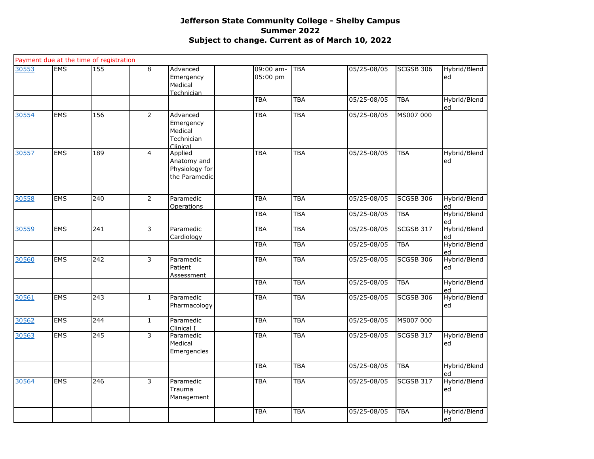|       |            | Payment due at the time of registration |                |                                                            |                       |            |             |                  |                    |
|-------|------------|-----------------------------------------|----------------|------------------------------------------------------------|-----------------------|------------|-------------|------------------|--------------------|
| 30553 | <b>EMS</b> | $\frac{155}{155}$                       | $\overline{8}$ | Advanced<br>Emergency<br>Medical<br>Technician             | 09:00 am-<br>05:00 pm | <b>TBA</b> | 05/25-08/05 | SCGSB 306        | Hybrid/Blend<br>ed |
|       |            |                                         |                |                                                            | <b>TBA</b>            | <b>TBA</b> | 05/25-08/05 | <b>TBA</b>       | Hybrid/Blend<br>ed |
| 30554 | <b>EMS</b> | 156                                     | $\overline{2}$ | Advanced<br>Emergency<br>Medical<br>Technician<br>Clinical | <b>TBA</b>            | <b>TBA</b> | 05/25-08/05 | MS007 000        |                    |
| 30557 | <b>EMS</b> | 189                                     | $\overline{4}$ | Applied<br>Anatomy and<br>Physiology for<br>the Paramedic  | <b>TBA</b>            | TBA        | 05/25-08/05 | <b>TBA</b>       | Hybrid/Blend<br>ed |
| 30558 | <b>EMS</b> | 240                                     | $\overline{2}$ | Paramedic<br><b>Operations</b>                             | <b>TBA</b>            | TBA        | 05/25-08/05 | <b>SCGSB 306</b> | Hybrid/Blend<br>ed |
|       |            |                                         |                |                                                            | <b>TBA</b>            | TBA        | 05/25-08/05 | <b>TBA</b>       | Hybrid/Blend<br>ed |
| 30559 | <b>EMS</b> | 241                                     | $\overline{3}$ | Paramedic<br>Cardiology                                    | <b>TBA</b>            | TBA        | 05/25-08/05 | SCGSB 317        | Hybrid/Blend<br>ed |
|       |            |                                         |                |                                                            | <b>TBA</b>            | <b>TBA</b> | 05/25-08/05 | <b>TBA</b>       | Hybrid/Blend<br>ed |
| 30560 | <b>EMS</b> | 242                                     | 3              | Paramedic<br>Patient<br>Assessment                         | <b>TBA</b>            | <b>TBA</b> | 05/25-08/05 | SCGSB 306        | Hybrid/Blend<br>ed |
|       |            |                                         |                |                                                            | <b>TBA</b>            | TBA        | 05/25-08/05 | <b>TBA</b>       | Hybrid/Blend<br>ed |
| 30561 | <b>EMS</b> | 243                                     | $\mathbf{1}$   | Paramedic<br>Pharmacology                                  | <b>TBA</b>            | <b>TBA</b> | 05/25-08/05 | <b>SCGSB 306</b> | Hybrid/Blend<br>ed |
| 30562 | <b>EMS</b> | $\overline{244}$                        | $\mathbf{1}$   | Paramedic<br>Clinical I                                    | <b>TBA</b>            | <b>TBA</b> | 05/25-08/05 | MS007 000        |                    |
| 30563 | <b>EMS</b> | 245                                     | 3              | Paramedic<br>Medical<br>Emergencies                        | <b>TBA</b>            | TBA        | 05/25-08/05 | <b>SCGSB 317</b> | Hybrid/Blend<br>ed |
|       |            |                                         |                |                                                            | <b>TBA</b>            | <b>TBA</b> | 05/25-08/05 | <b>TBA</b>       | Hybrid/Blend<br>ed |
| 30564 | <b>EMS</b> | 246                                     | 3              | Paramedic<br>Trauma<br>Management                          | <b>TBA</b>            | TBA        | 05/25-08/05 | <b>SCGSB 317</b> | Hybrid/Blend<br>ed |
|       |            |                                         |                |                                                            | <b>TBA</b>            | TBA        | 05/25-08/05 | <b>TBA</b>       | Hybrid/Blend<br>ed |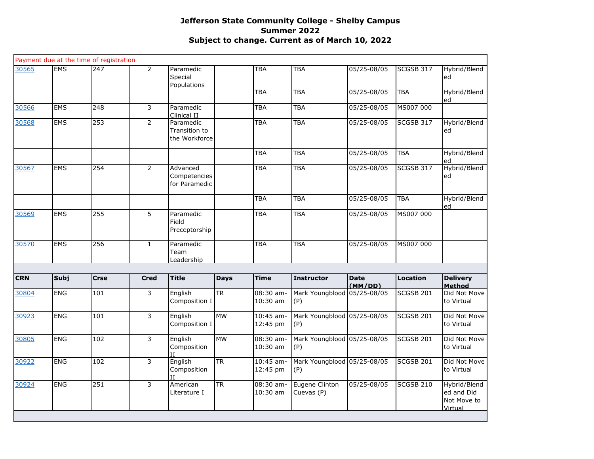|            |             | Payment due at the time of registration |                |                                             |             |                         |                                    |                        |                  |                                                      |
|------------|-------------|-----------------------------------------|----------------|---------------------------------------------|-------------|-------------------------|------------------------------------|------------------------|------------------|------------------------------------------------------|
| 30565      | <b>EMS</b>  | 247                                     | $\overline{2}$ | Paramedic<br>Special<br><b>Populations</b>  |             | <b>TBA</b>              | <b>TBA</b>                         | 05/25-08/05            | SCGSB 317        | Hybrid/Blend<br>ed                                   |
|            |             |                                         |                |                                             |             | <b>TBA</b>              | <b>TBA</b>                         | 05/25-08/05            | <b>TBA</b>       | Hybrid/Blend<br>ed                                   |
| 30566      | <b>EMS</b>  | 248                                     | 3              | Paramedic<br>Clinical II                    |             | <b>TBA</b>              | <b>TBA</b>                         | 05/25-08/05            | MS007 000        |                                                      |
| 30568      | <b>EMS</b>  | 253                                     | $\overline{2}$ | Paramedic<br>Transition to<br>the Workforce |             | <b>TBA</b>              | <b>TBA</b>                         | 05/25-08/05            | SCGSB 317        | Hybrid/Blend<br>ed                                   |
|            |             |                                         |                |                                             |             | <b>TBA</b>              | <b>TBA</b>                         | 05/25-08/05            | <b>TBA</b>       | Hybrid/Blend<br>hq                                   |
| 30567      | <b>EMS</b>  | 254                                     | $\overline{2}$ | Advanced<br>Competencies<br>for Paramedic   |             | <b>TBA</b>              | <b>TBA</b>                         | 05/25-08/05            | SCGSB 317        | Hybrid/Blend<br>ed                                   |
|            |             |                                         |                |                                             |             | <b>TBA</b>              | <b>TBA</b>                         | 05/25-08/05            | <b>TBA</b>       | Hybrid/Blend<br>ed                                   |
| 30569      | <b>EMS</b>  | 255                                     | 5              | Paramedic<br>Field<br>Preceptorship         |             | <b>TBA</b>              | <b>TBA</b>                         | 05/25-08/05            | MS007 000        |                                                      |
| 30570      | <b>EMS</b>  | 256                                     | $\mathbf{1}$   | Paramedic<br>Team<br><u>Leadership</u>      |             | <b>TBA</b>              | <b>TBA</b>                         | 05/25-08/05            | MS007 000        |                                                      |
|            |             |                                         |                |                                             |             |                         |                                    |                        |                  |                                                      |
| <b>CRN</b> | <b>Subj</b> | <b>Crse</b>                             | <b>Cred</b>    | <b>Title</b>                                | <b>Days</b> | <b>Time</b>             | <b>Instructor</b>                  | <b>Date</b><br>(MM/DD) | <b>Location</b>  | <b>Delivery</b><br>Method                            |
| 30804      | ENG         | 101                                     | 3              | English<br>Composition I                    | <b>TR</b>   | 08:30 am-<br>10:30 am   | Mark Youngblood 05/25-08/05<br>(P) |                        | <b>SCGSB 201</b> | Did Not Move<br>to Virtual                           |
| 30923      | <b>ENG</b>  | 101                                     | $\overline{3}$ | English<br>Composition I                    | <b>MW</b>   | 10:45 am-<br>12:45 pm   | Mark Youngblood 05/25-08/05<br>(P) |                        | <b>SCGSB 201</b> | Did Not Move<br>to Virtual                           |
| 30805      | <b>ENG</b>  | 102                                     | $\overline{3}$ | English<br>Composition                      | <b>MW</b>   | $08:30$ am-<br>10:30 am | Mark Youngblood 05/25-08/05<br>(P) |                        | SCGSB 201        | Did Not Move<br>to Virtual                           |
| 30922      | <b>ENG</b>  | 102                                     | $\overline{3}$ | English<br>Composition                      | <b>TR</b>   | 10:45 am-<br>12:45 pm   | Mark Youngblood 05/25-08/05<br>(P) |                        | <b>SCGSB 201</b> | Did Not Move<br>to Virtual                           |
| 30924      | <b>ENG</b>  | 251                                     | $\overline{3}$ | American<br>Literature I                    | <b>TR</b>   | 08:30 am-<br>$10:30$ am | Eugene Clinton<br>Cuevas (P)       | 05/25-08/05            | <b>SCGSB 210</b> | Hybrid/Blend<br>ed and Did<br>Not Move to<br>Virtual |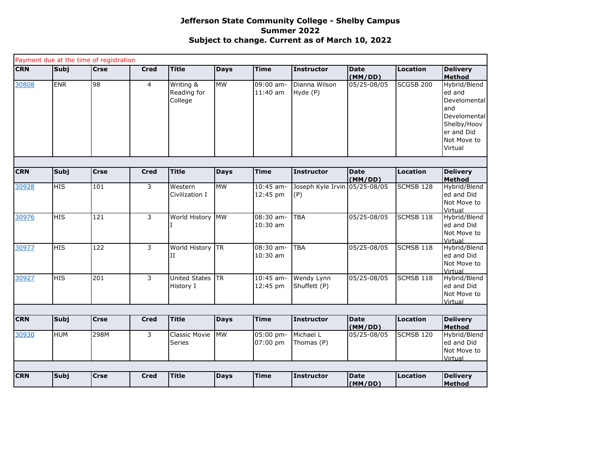|            |             | Payment due at the time of registration |             |                                     |             |                           |                                      |                        |                  |                                                                                                                      |
|------------|-------------|-----------------------------------------|-------------|-------------------------------------|-------------|---------------------------|--------------------------------------|------------------------|------------------|----------------------------------------------------------------------------------------------------------------------|
| <b>CRN</b> | Subj        | <b>Crse</b>                             | <b>Cred</b> | <b>Title</b>                        | <b>Days</b> | <b>Time</b>               | <b>Instructor</b>                    | <b>Date</b><br>(MM/DD) | Location         | <b>Delivery</b><br><b>Method</b>                                                                                     |
| 30808      | <b>ENR</b>  | 98                                      | 4           | Writing &<br>Reading for<br>College | <b>MW</b>   | $09:00$ am-<br>$11:40$ am | Dianna Wilson<br>Hyde (P)            | 05/25-08/05            | <b>SCGSB 200</b> | Hybrid/Blend<br>ed and<br>Develomental<br>and<br>Develomental<br>Shelby/Hoov<br>er and Did<br>Not Move to<br>Virtual |
|            |             |                                         |             |                                     |             |                           |                                      |                        |                  |                                                                                                                      |
| <b>CRN</b> | Subj        | <b>Crse</b>                             | <b>Cred</b> | <b>Title</b>                        | <b>Days</b> | <b>Time</b>               | <b>Instructor</b>                    | <b>Date</b><br>(MM/DD) | <b>Location</b>  | <b>Delivery</b><br><b>Method</b>                                                                                     |
| 30928      | <b>HIS</b>  | 101                                     | 3           | Western<br>Civilization I           | <b>MW</b>   | $10:45$ am-<br>12:45 pm   | Joseph Kyle Irvin 05/25-08/05<br>(P) |                        | SCMSB 128        | Hybrid/Blend<br>ed and Did<br>Not Move to<br>Virtual                                                                 |
| 30976      | HIS         | 121                                     | 3           | World History MW                    |             | 08:30 am-<br>$10:30$ am   | <b>TBA</b>                           | 05/25-08/05            | SCMSB 118        | Hybrid/Blend<br>ed and Did<br>Not Move to<br>Virtual                                                                 |
| 30977      | <b>HIS</b>  | 122                                     | 3           | World History<br>и                  | <b>TR</b>   | 08:30 am-<br>$10:30$ am   | <b>TBA</b>                           | 05/25-08/05            | SCMSB 118        | Hybrid/Blend<br>ed and Did<br>Not Move to<br>Virtual                                                                 |
| 30927      | <b>HIS</b>  | 201                                     | 3           | <b>United States</b><br>History I   | <b>TR</b>   | $10:45$ am-<br>12:45 pm   | Wendy Lynn<br>Shuffett (P)           | 05/25-08/05            | SCMSB 118        | Hybrid/Blend<br>ed and Did<br>Not Move to<br>Virtual                                                                 |
| <b>CRN</b> |             | <b>Crse</b>                             |             | <b>Title</b>                        |             | Time                      |                                      | <b>Date</b>            |                  |                                                                                                                      |
|            | <b>Subj</b> |                                         | <b>Cred</b> |                                     | <b>Days</b> |                           | <b>Instructor</b>                    | (MM/DD)                | <b>Location</b>  | <b>Delivery</b><br><b>Method</b>                                                                                     |
| 30930      | <b>HUM</b>  | 298M                                    | 3           | Classic Movie<br>Series             | <b>MW</b>   | 05:00 pm-<br>07:00 pm     | Michael L<br>Thomas (P)              | 05/25-08/05            | SCMSB 120        | Hybrid/Blend<br>ed and Did<br>Not Move to<br>Virtual                                                                 |
| <b>CRN</b> | <b>Subj</b> | <b>Crse</b>                             | <b>Cred</b> | <b>Title</b>                        |             | Time                      | Instructor                           | <b>Date</b>            | Location         | <b>Delivery</b>                                                                                                      |
|            |             |                                         |             |                                     | <b>Days</b> |                           |                                      | (MM/DD)                |                  | Method                                                                                                               |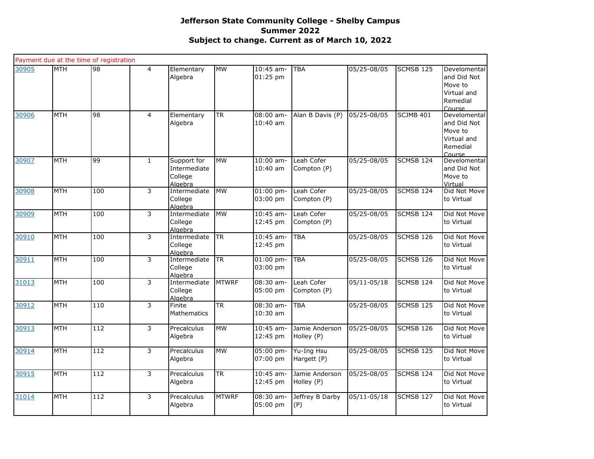|       |            | Payment due at the time of registration |                |                                                   |              |                           |                              |                            |                  |                                                                             |
|-------|------------|-----------------------------------------|----------------|---------------------------------------------------|--------------|---------------------------|------------------------------|----------------------------|------------------|-----------------------------------------------------------------------------|
| 30905 | <b>MTH</b> | 98                                      | $\overline{4}$ | Elementary<br>Algebra                             | <b>MW</b>    | 10:45 am-<br>01:25 pm     | <b>TBA</b>                   | $\overline{05}/25 - 08/05$ | SCMSB 125        | Develomental<br>and Did Not<br>Move to<br>Virtual and<br>Remedial<br>Course |
| 30906 | <b>MTH</b> | 98                                      | $\overline{4}$ | Elementary<br>Algebra                             | <b>TR</b>    | $08:00$ am-<br>$10:40$ am | Alan B Davis (P)             | 05/25-08/05                | SCJMB 401        | Develomental<br>and Did Not<br>Move to<br>Virtual and<br>Remedial<br>Course |
| 30907 | <b>MTH</b> | 99                                      | $\mathbf{1}$   | Support for<br>Intermediate<br>College<br>Algebra | <b>MW</b>    | 10:00 am-<br>$10:40$ am   | Leah Cofer<br>Compton (P)    | 05/25-08/05                | SCMSB 124        | Develomental<br>and Did Not<br>Move to<br>Virtual                           |
| 30908 | <b>MTH</b> | 100                                     | 3              | Intermediate<br>College<br>Algebra                | <b>MW</b>    | $01:00$ pm-<br>03:00 pm   | Leah Cofer<br>Compton (P)    | 05/25-08/05                | <b>SCMSB 124</b> | Did Not Move<br>to Virtual                                                  |
| 30909 | <b>MTH</b> | 100                                     | 3              | Intermediate<br>College<br>Algebra                | <b>MW</b>    | 10:45 am-<br>12:45 pm     | Leah Cofer<br>Compton (P)    | 05/25-08/05                | SCMSB 124        | Did Not Move<br>to Virtual                                                  |
| 30910 | <b>MTH</b> | 100                                     | $\overline{3}$ | Intermediate<br>College<br>Algebra                | <b>TR</b>    | 10:45 am-<br>12:45 pm     | <b>TBA</b>                   | 05/25-08/05                | <b>SCMSB 126</b> | Did Not Move<br>to Virtual                                                  |
| 30911 | <b>MTH</b> | 100                                     | 3              | Intermediate<br>College<br>Algebra                | <b>TR</b>    | $01:00$ pm-<br>03:00 pm   | <b>TBA</b>                   | 05/25-08/05                | SCMSB 126        | Did Not Move<br>to Virtual                                                  |
| 31013 | <b>MTH</b> | 100                                     | $\overline{3}$ | Intermediate<br>College<br>Algebra                | <b>MTWRF</b> | $08:30$ am-<br>05:00 pm   | Leah Cofer<br>Compton (P)    | $05/11 - 05/18$            | <b>SCMSB 124</b> | Did Not Move<br>to Virtual                                                  |
| 30912 | <b>MTH</b> | 110                                     | 3              | Finite<br><b>Mathematics</b>                      | <b>TR</b>    | 08:30 am-<br>10:30 am     | <b>TBA</b>                   | 05/25-08/05                | SCMSB 125        | Did Not Move<br>to Virtual                                                  |
| 30913 | <b>MTH</b> | 112                                     | 3              | Precalculus<br>Algebra                            | <b>MW</b>    | $10:45$ am-<br>12:45 pm   | Jamie Anderson<br>Holley (P) | 05/25-08/05                | <b>SCMSB 126</b> | Did Not Move<br>to Virtual                                                  |
| 30914 | <b>MTH</b> | 112                                     | 3              | Precalculus<br>Algebra                            | <b>MW</b>    | $05:00$ pm-<br>07:00 pm   | Yu-Ing Hsu<br>Hargett (P)    | 05/25-08/05                | SCMSB 125        | Did Not Move<br>to Virtual                                                  |
| 30915 | <b>MTH</b> | 112                                     | 3              | Precalculus<br>Algebra                            | <b>TR</b>    | $10:45$ am-<br>12:45 pm   | Jamie Anderson<br>Holley (P) | $05/25 - 08/05$            | SCMSB 124        | Did Not Move<br>to Virtual                                                  |
| 31014 | <b>MTH</b> | 112                                     | 3              | Precalculus<br>Algebra                            | <b>MTWRF</b> | 08:30 am-<br>05:00 pm     | Jeffrey B Darby<br>(P)       | $05/11 - 05/18$            | <b>SCMSB 127</b> | Did Not Move<br>to Virtual                                                  |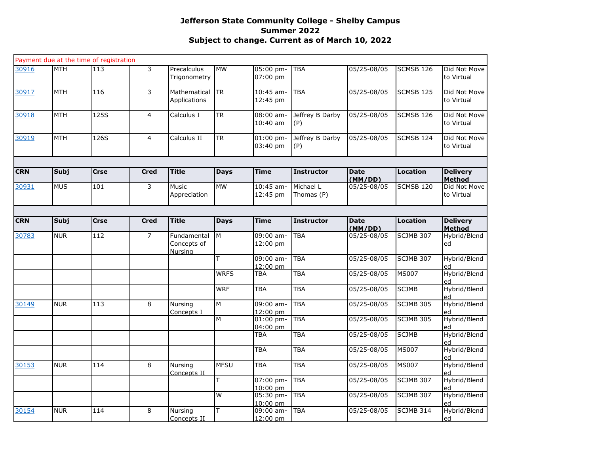|            |             | Payment due at the time of registration |                |                                       |                        |                           |                         |                        |                  |                                  |
|------------|-------------|-----------------------------------------|----------------|---------------------------------------|------------------------|---------------------------|-------------------------|------------------------|------------------|----------------------------------|
| 30916      | <b>MTH</b>  | 113                                     | $\overline{3}$ | Precalculus<br>Trigonometry           | <b>MW</b>              | 05:00 pm-<br>07:00 pm     | <b>TBA</b>              | 05/25-08/05            | SCMSB 126        | Did Not Move<br>to Virtual       |
| 30917      | <b>MTH</b>  | 116                                     | $\overline{3}$ | Mathematical<br>Applications          | $\overline{\text{TR}}$ | $10:45$ am-<br>12:45 pm   | TBA                     | 05/25-08/05            | <b>SCMSB 125</b> | Did Not Move<br>to Virtual       |
| 30918      | <b>MTH</b>  | 125S                                    | $\overline{4}$ | Calculus I                            | $\overline{\text{TR}}$ | $08:00$ am-<br>$10:40$ am | Jeffrey B Darby<br>(P)  | 05/25-08/05            | <b>SCMSB 126</b> | Did Not Move<br>to Virtual       |
| 30919      | MTH         | 126S                                    | $\overline{4}$ | Calculus II                           | <b>TR</b>              | 01:00 pm-<br>03:40 pm     | Jeffrey B Darby<br>(P)  | 05/25-08/05            | SCMSB 124        | Did Not Move<br>to Virtual       |
|            |             |                                         |                |                                       |                        |                           |                         |                        |                  |                                  |
| <b>CRN</b> | Subj        | <b>Crse</b>                             | <b>Cred</b>    | <b>Title</b>                          | <b>Days</b>            | <b>Time</b>               | <b>Instructor</b>       | <b>Date</b><br>(MM/DD) | <b>Location</b>  | <b>Delivery</b><br><b>Method</b> |
| 30931      | <b>MUS</b>  | 101                                     | $\overline{3}$ | Music<br>Appreciation                 | <b>MW</b>              | $10:45$ am-<br>12:45 pm   | Michael L<br>Thomas (P) | 05/25-08/05            | <b>SCMSB 120</b> | Did Not Move<br>to Virtual       |
| <b>CRN</b> | <b>Subj</b> | <b>Crse</b>                             | <b>Cred</b>    | <b>Title</b>                          | <b>Days</b>            | <b>Time</b>               | <b>Instructor</b>       | <b>Date</b>            | Location         | <b>Delivery</b>                  |
| 30783      | <b>NUR</b>  | 112                                     | $\overline{7}$ | Fundamental<br>Concepts of<br>Nursing | Iм                     | 09:00 am-<br>12:00 pm     | <b>TBA</b>              | (MM/DD)<br>05/25-08/05 | SCJMB 307        | Method<br>Hybrid/Blend<br>ed     |
|            |             |                                         |                |                                       | т                      | 09:00 am-<br>12:00 pm     | TBA                     | 05/25-08/05            | <b>SCJMB 307</b> | Hybrid/Blend<br>ed               |
|            |             |                                         |                |                                       | <b>WRFS</b>            | <b>TBA</b>                | TBA                     | 05/25-08/05            | <b>MS007</b>     | Hybrid/Blend<br>ed               |
|            |             |                                         |                |                                       | <b>WRF</b>             | <b>TBA</b>                | TBA                     | 05/25-08/05            | <b>SCJMB</b>     | Hybrid/Blend<br>ed               |
| 30149      | <b>NUR</b>  | 113                                     | 8              | Nursing<br>Concepts I                 | M                      | 09:00 am-<br>12:00 pm     | <b>TBA</b>              | 05/25-08/05            | <b>SCJMB 305</b> | Hybrid/Blend<br>ed               |
|            |             |                                         |                |                                       | M                      | 01:00 pm-<br>04:00 pm     | <b>TBA</b>              | 05/25-08/05            | <b>SCJMB 305</b> | Hybrid/Blend<br>ed               |
|            |             |                                         |                |                                       |                        | TBA                       | TBA                     | 05/25-08/05            | <b>SCJMB</b>     | Hybrid/Blend<br>ed               |
|            |             |                                         |                |                                       |                        | <b>TBA</b>                | TBA                     | 05/25-08/05            | <b>MS007</b>     | Hybrid/Blend<br>ed               |
| 30153      | <b>NUR</b>  | 114                                     | 8              | Nursing<br>Concepts II                | <b>MFSU</b>            | <b>TBA</b>                | TBA                     | 05/25-08/05            | <b>MS007</b>     | Hybrid/Blend<br>ed               |
|            |             |                                         |                |                                       | т                      | 07:00 pm-<br>$10:00$ pm   | <b>TBA</b>              | 05/25-08/05            | <b>SCJMB 307</b> | Hybrid/Blend<br>ed               |
|            |             |                                         |                |                                       | W                      | 05:30 pm-<br>10:00 pm     | <b>TBA</b>              | 05/25-08/05            | <b>SCJMB 307</b> | Hybrid/Blend<br>ed               |
| 30154      | <b>NUR</b>  | 114                                     | 8              | Nursing<br>Concepts II                | T                      | 09:00 am-<br>12:00 pm     | <b>TBA</b>              | 05/25-08/05            | <b>SCJMB 314</b> | Hybrid/Blend<br>ed               |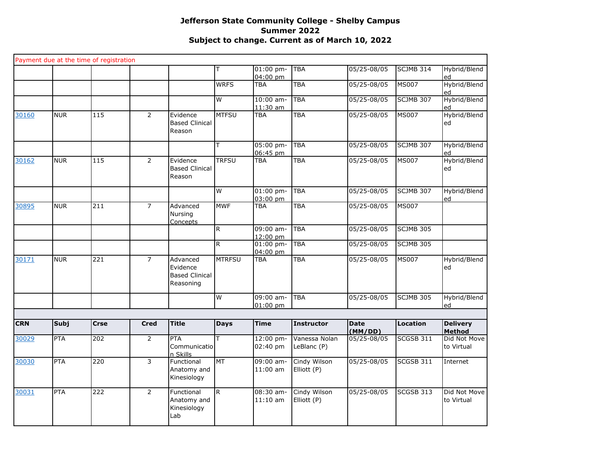|            |             | Payment due at the time of registration |                |                                                            |               |                         |                              |                        |                  |                                  |
|------------|-------------|-----------------------------------------|----------------|------------------------------------------------------------|---------------|-------------------------|------------------------------|------------------------|------------------|----------------------------------|
|            |             |                                         |                |                                                            | T             | $01:00$ pm-<br>04:00 pm | <b>TBA</b>                   | 05/25-08/05            | <b>SCJMB 314</b> | Hybrid/Blend<br>ed               |
|            |             |                                         |                |                                                            | <b>WRFS</b>   | <b>TBA</b>              | <b>TBA</b>                   | 05/25-08/05            | <b>MS007</b>     | Hybrid/Blend<br>ed               |
|            |             |                                         |                |                                                            | W             | $10:00$ am-<br>11:30 am | <b>TBA</b>                   | 05/25-08/05            | <b>SCJMB 307</b> | Hybrid/Blend<br>ed               |
| 30160      | <b>NUR</b>  | 115                                     | 2              | Evidence<br><b>Based Clinical</b><br>Reason                | <b>MTFSU</b>  | <b>TBA</b>              | <b>TBA</b>                   | 05/25-08/05            | <b>MS007</b>     | Hybrid/Blend<br>ed               |
|            |             |                                         |                |                                                            | T             | 05:00 pm-<br>06:45 pm   | <b>TBA</b>                   | 05/25-08/05            | SCJMB 307        | Hybrid/Blend<br>ed               |
| 30162      | <b>NUR</b>  | $\overline{115}$                        | $\overline{2}$ | Evidence<br><b>Based Clinical</b><br>Reason                | <b>TRFSU</b>  | <b>TBA</b>              | <b>TBA</b>                   | 05/25-08/05            | <b>MS007</b>     | Hybrid/Blend<br>ed               |
|            |             |                                         |                |                                                            | W             | $01:00$ pm-<br>03:00 pm | <b>TBA</b>                   | 05/25-08/05            | <b>SCJMB 307</b> | Hybrid/Blend<br>ed               |
| 30895      | <b>NUR</b>  | 211                                     | $\overline{7}$ | Advanced<br>Nursing<br>Concepts                            | <b>MWF</b>    | <b>TBA</b>              | <b>TBA</b>                   | 05/25-08/05            | <b>MS007</b>     |                                  |
|            |             |                                         |                |                                                            | $\mathsf{R}$  | 09:00 am-<br>12:00 pm   | <b>TBA</b>                   | 05/25-08/05            | <b>SCJMB 305</b> |                                  |
|            |             |                                         |                |                                                            | $\mathsf{R}$  | $01:00$ pm-<br>04:00 pm | TBA                          | 05/25-08/05            | <b>SCJMB 305</b> |                                  |
| 30171      | <b>NUR</b>  | 221                                     | $\overline{7}$ | Advanced<br>Evidence<br><b>Based Clinical</b><br>Reasoning | <b>MTRFSU</b> | <b>TBA</b>              | <b>TBA</b>                   | 05/25-08/05            | <b>MS007</b>     | Hybrid/Blend<br>ed               |
|            |             |                                         |                |                                                            | W             | 09:00 am-<br>$01:00$ pm | <b>TBA</b>                   | 05/25-08/05            | SCJMB 305        | Hybrid/Blend                     |
|            |             |                                         |                |                                                            |               |                         |                              |                        |                  | ed                               |
| <b>CRN</b> | <b>Subj</b> | <b>Crse</b>                             | <b>Cred</b>    | <b>Title</b>                                               | <b>Days</b>   | <b>Time</b>             | <b>Instructor</b>            | <b>Date</b><br>(MM/DD) | <b>Location</b>  | <b>Delivery</b><br><b>Method</b> |
| 30029      | <b>PTA</b>  | 202                                     | $\overline{2}$ | <b>PTA</b><br>Communicatio<br>n Skills                     | T             | 12:00 pm-<br>02:40 pm   | Vanessa Nolan<br>LeBlanc (P) | 05/25-08/05            | <b>SCGSB 311</b> | Did Not Move<br>to Virtual       |
| 30030      | <b>PTA</b>  | $\overline{220}$                        | 3              | Functional<br>Anatomy and<br>Kinesiology                   | <b>MT</b>     | 09:00 am-<br>$11:00$ am | Cindy Wilson<br>Elliott (P)  | 05/25-08/05            | <b>SCGSB 311</b> | Internet                         |
| 30031      | <b>PTA</b>  | 222                                     | $\overline{2}$ | Functional<br>Anatomy and<br>Kinesiology<br>Lab            | R             | 08:30 am-<br>$11:10$ am | Cindy Wilson<br>Elliott (P)  | 05/25-08/05            | SCGSB 313        | Did Not Move<br>to Virtual       |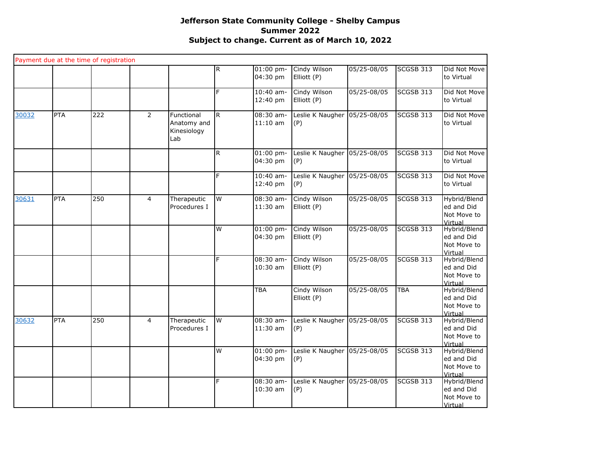|       | Payment due at the time of registration |     |                |                                                 |              |                         |                             |             |                  |                                                      |
|-------|-----------------------------------------|-----|----------------|-------------------------------------------------|--------------|-------------------------|-----------------------------|-------------|------------------|------------------------------------------------------|
|       |                                         |     |                |                                                 | $\mathsf{R}$ | $01:00$ pm-<br>04:30 pm | Cindy Wilson<br>Elliott (P) | 05/25-08/05 | SCGSB 313        | Did Not Move<br>to Virtual                           |
|       |                                         |     |                |                                                 | F            | $10:40$ am-<br>12:40 pm | Cindy Wilson<br>Elliott (P) | 05/25-08/05 | <b>SCGSB 313</b> | Did Not Move<br>to Virtual                           |
| 30032 | <b>PTA</b>                              | 222 | $\overline{2}$ | Functional<br>Anatomy and<br>Kinesiology<br>Lab | R.           | 08:30 am-<br>$11:10$ am | Leslie K Naugher<br>(P)     | 05/25-08/05 | <b>SCGSB 313</b> | Did Not Move<br>to Virtual                           |
|       |                                         |     |                |                                                 | $\mathsf{R}$ | $01:00$ pm-<br>04:30 pm | Leslie K Naugher<br>(P)     | 05/25-08/05 | SCGSB 313        | Did Not Move<br>to Virtual                           |
|       |                                         |     |                |                                                 | F            | $10:40$ am-<br>12:40 pm | Leslie K Naugher<br>(P)     | 05/25-08/05 | <b>SCGSB 313</b> | Did Not Move<br>to Virtual                           |
| 30631 | <b>PTA</b>                              | 250 | $\overline{4}$ | Therapeutic<br>Procedures I                     | W            | 08:30 am-<br>11:30 am   | Cindy Wilson<br>Elliott (P) | 05/25-08/05 | <b>SCGSB 313</b> | Hybrid/Blend<br>ed and Did<br>Not Move to<br>Virtual |
|       |                                         |     |                |                                                 | W            | $01:00$ pm-<br>04:30 pm | Cindy Wilson<br>Elliott (P) | 05/25-08/05 | <b>SCGSB 313</b> | Hybrid/Blend<br>ed and Did<br>Not Move to<br>Virtual |
|       |                                         |     |                |                                                 | F            | 08:30 am-<br>10:30 am   | Cindy Wilson<br>Elliott (P) | 05/25-08/05 | SCGSB 313        | Hybrid/Blend<br>ed and Did<br>Not Move to<br>Virtual |
|       |                                         |     |                |                                                 |              | TBA                     | Cindy Wilson<br>Elliott (P) | 05/25-08/05 | <b>TBA</b>       | Hybrid/Blend<br>ed and Did<br>Not Move to<br>Virtual |
| 30632 | PTA                                     | 250 | $\overline{4}$ | Therapeutic<br>Procedures I                     | W            | $08:30$ am-<br>11:30 am | Leslie K Naugher<br>(P)     | 05/25-08/05 | <b>SCGSB 313</b> | Hybrid/Blend<br>ed and Did<br>Not Move to<br>Virtual |
|       |                                         |     |                |                                                 | W            | $01:00$ pm-<br>04:30 pm | Leslie K Naugher<br>(P)     | 05/25-08/05 | <b>SCGSB 313</b> | Hybrid/Blend<br>ed and Did<br>Not Move to<br>Virtual |
|       |                                         |     |                |                                                 | F            | 08:30 am-<br>10:30 am   | Leslie K Naugher<br>(P)     | 05/25-08/05 | <b>SCGSB 313</b> | Hybrid/Blend<br>ed and Did<br>Not Move to<br>Virtual |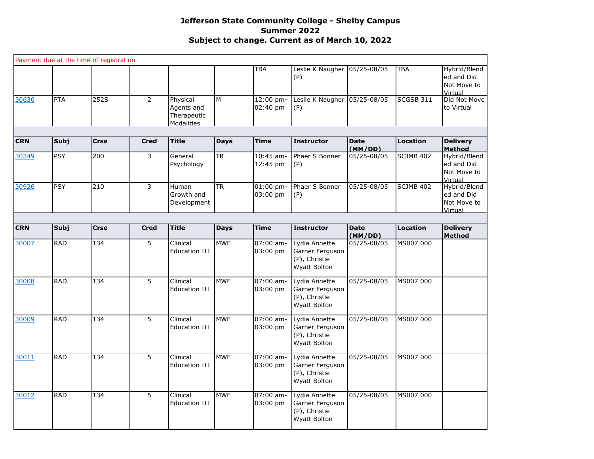|            |            | Payment due at the time of registration |                |                                                     |             |                         |                                                                          |                        |                  |                                                      |
|------------|------------|-----------------------------------------|----------------|-----------------------------------------------------|-------------|-------------------------|--------------------------------------------------------------------------|------------------------|------------------|------------------------------------------------------|
|            |            |                                         |                |                                                     |             | <b>TBA</b>              | Leslie K Naugher<br>(P)                                                  | 05/25-08/05            | <b>TBA</b>       | Hybrid/Blend<br>ed and Did<br>Not Move to<br>Virtual |
| 30630      | <b>PTA</b> | 252S                                    | $\overline{2}$ | Physical<br>Agents and<br>Therapeutic<br>Modalities | M           | 12:00 pm-<br>02:40 pm   | Leslie K Naugher<br>(P)                                                  | 05/25-08/05            | <b>SCGSB 311</b> | Did Not Move<br>to Virtual                           |
|            |            |                                         |                |                                                     |             |                         |                                                                          |                        |                  |                                                      |
| <b>CRN</b> | Subj       | <b>Crse</b>                             | <b>Cred</b>    | <b>Title</b>                                        | <b>Days</b> | <b>Time</b>             | <b>Instructor</b>                                                        | <b>Date</b><br>(MM/DD) | <b>Location</b>  | <b>Delivery</b><br><b>Method</b>                     |
| 30349      | <b>PSY</b> | 200                                     | 3              | General<br>Psychology                               | <b>TR</b>   | $10:45$ am-<br>12:45 pm | Phaer S Bonner<br>(P)                                                    | 05/25-08/05            | <b>SCJMB 402</b> | Hybrid/Blend<br>ed and Did<br>Not Move to<br>Virtual |
| 30926      | <b>PSY</b> | 210                                     | 3              | Human<br>Growth and<br>Development                  | <b>TR</b>   | $01:00$ pm-<br>03:00 pm | Phaer S Bonner<br>(P)                                                    | 05/25-08/05            | <b>SCJMB 402</b> | Hybrid/Blend<br>ed and Did<br>Not Move to<br>Virtual |
| <b>CRN</b> | Subj       | <b>Crse</b>                             | <b>Cred</b>    | <b>Title</b>                                        | <b>Days</b> | <b>Time</b>             | <b>Instructor</b>                                                        | <b>Date</b>            | <b>Location</b>  | <b>Delivery</b>                                      |
|            |            |                                         |                |                                                     |             |                         |                                                                          | (MM/DD)                |                  | <b>Method</b>                                        |
| 30007      | <b>RAD</b> | 134                                     | 5              | Clinical<br><b>Education III</b>                    | <b>MWF</b>  | $07:00$ am-<br>03:00 pm | Lydia Annette<br>Garner Ferguson<br>(P), Christie<br><b>Wyatt Bolton</b> | 05/25-08/05            | MS007 000        |                                                      |
| 30008      | <b>RAD</b> | 134                                     | 5              | Clinical<br><b>Education III</b>                    | <b>MWF</b>  | $07:00$ am-<br>03:00 pm | Lydia Annette<br>Garner Ferguson<br>(P), Christie<br>Wyatt Bolton        | 05/25-08/05            | MS007 000        |                                                      |
| 30009      | <b>RAD</b> | 134                                     | $\overline{5}$ | Clinical<br><b>Education III</b>                    | <b>MWF</b>  | $07:00$ am-<br>03:00 pm | Lydia Annette<br>Garner Ferguson<br>(P), Christie<br>Wyatt Bolton        | 05/25-08/05            | MS007 000        |                                                      |
| 30011      | <b>RAD</b> | 134                                     | 5              | Clinical<br><b>Education III</b>                    | <b>MWF</b>  | $07:00$ am-<br>03:00 pm | Lydia Annette<br>Garner Ferguson<br>(P), Christie<br>Wyatt Bolton        | 05/25-08/05            | MS007 000        |                                                      |
| 30012      | <b>RAD</b> | 134                                     | 5              | Clinical<br><b>Education III</b>                    | <b>MWF</b>  | 07:00 am-<br>03:00 pm   | Lydia Annette<br>Garner Ferguson<br>(P), Christie<br>Wyatt Bolton        | $05/25 - 08/05$        | MS007 000        |                                                      |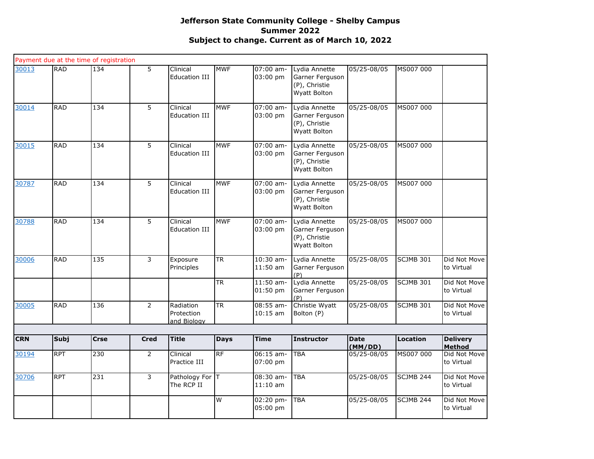|            |             | Payment due at the time of registration |                |                                        |             |                           |                                                                   |                        |                  |                            |
|------------|-------------|-----------------------------------------|----------------|----------------------------------------|-------------|---------------------------|-------------------------------------------------------------------|------------------------|------------------|----------------------------|
| 30013      | <b>RAD</b>  | 134                                     | 5              | Clinical<br><b>Education III</b>       | <b>MWF</b>  | 07:00 am-<br>03:00 pm     | Lydia Annette<br>Garner Ferguson<br>(P), Christie<br>Wyatt Bolton | 05/25-08/05            | MS007 000        |                            |
| 30014      | <b>RAD</b>  | 134                                     | $\overline{5}$ | Clinical<br><b>Education III</b>       | <b>MWF</b>  | $07:00$ am-<br>03:00 pm   | Lydia Annette<br>Garner Ferguson<br>(P), Christie<br>Wyatt Bolton | 05/25-08/05            | MS007 000        |                            |
| 30015      | <b>RAD</b>  | $\frac{134}{x}$                         | 5              | Clinical<br><b>Education III</b>       | <b>MWF</b>  | 07:00 am-<br>03:00 pm     | Lydia Annette<br>Garner Ferguson<br>(P), Christie<br>Wyatt Bolton | 05/25-08/05            | MS007 000        |                            |
| 30787      | <b>RAD</b>  | 134                                     | 5              | Clinical<br><b>Education III</b>       | <b>MWF</b>  | 07:00 am-<br>03:00 pm     | Lydia Annette<br>Garner Ferguson<br>(P), Christie<br>Wyatt Bolton | 05/25-08/05            | MS007 000        |                            |
| 30788      | <b>RAD</b>  | $\frac{134}{x}$                         | 5              | Clinical<br>Education III              | <b>MWF</b>  | $07:00$ am-<br>03:00 pm   | Lydia Annette<br>Garner Ferguson<br>(P), Christie<br>Wyatt Bolton | 05/25-08/05            | MS007 000        |                            |
| 30006      | <b>RAD</b>  | 135                                     | 3              | Exposure<br>Principles                 | <b>TR</b>   | 10:30 am-<br>$11:50$ am   | Lydia Annette<br>Garner Ferguson<br>(P)                           | 05/25-08/05            | SCJMB 301        | Did Not Move<br>to Virtual |
|            |             |                                         |                |                                        | <b>TR</b>   | $11:50$ am-<br>01:50 pm   | Lydia Annette<br>Garner Ferguson<br>(P)                           | $05/25 - 08/05$        | <b>SCJMB 301</b> | Did Not Move<br>to Virtual |
| 30005      | <b>RAD</b>  | 136                                     | $\overline{2}$ | Radiation<br>Protection<br>and Biology | <b>TR</b>   | $08:55$ am-<br>$10:15$ am | Christie Wyatt<br>Bolton (P)                                      | 05/25-08/05            | <b>SCJMB 301</b> | Did Not Move<br>to Virtual |
|            |             |                                         |                |                                        |             |                           |                                                                   |                        |                  |                            |
| <b>CRN</b> | <b>Subj</b> | <b>Crse</b>                             | <b>Cred</b>    | <b>Title</b>                           | <b>Days</b> | <b>Time</b>               | <b>Instructor</b>                                                 | <b>Date</b><br>(MM/DD) | Location         | <b>Delivery</b><br>Method  |
| 30194      | <b>RPT</b>  | 230                                     | $\overline{2}$ | Clinical<br>Practice III               | RF          | $06:15$ am-<br>07:00 pm   | <b>TBA</b>                                                        | 05/25-08/05            | MS007 000        | Did Not Move<br>to Virtual |
| 30706      | <b>RPT</b>  | 231                                     | 3              | Pathology For T<br>The RCP II          |             | 08:30 am-<br>$11:10$ am   | <b>TBA</b>                                                        | 05/25-08/05            | SCJMB 244        | Did Not Move<br>to Virtual |
|            |             |                                         |                |                                        | W           | 02:20 pm-<br>05:00 pm     | <b>TBA</b>                                                        | 05/25-08/05            | <b>SCJMB 244</b> | Did Not Move<br>to Virtual |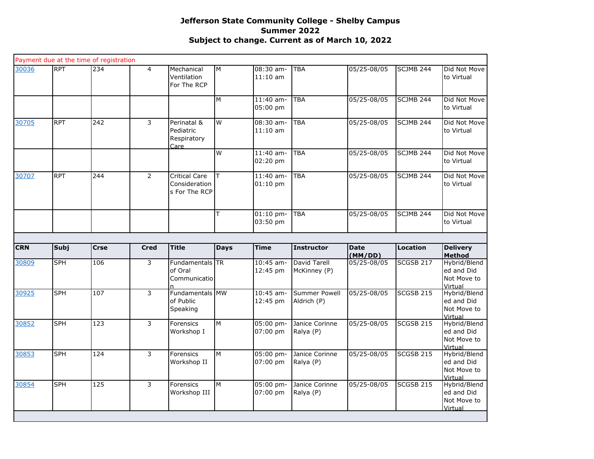| 30036<br><b>RPT</b><br>234<br>$\overline{4}$<br>3<br>30705<br><b>RPT</b><br>242<br><b>RPT</b><br>244<br>$\overline{2}$<br>30707 | Mechanical<br>Ventilation<br>For The RCP               | M<br>M      | 08:30 am-<br>$11:10$ am   | <b>TBA</b>                          | 05/25-08/05            | <b>SCJMB 244</b>     | Did Not Move<br>to Virtual                           |
|---------------------------------------------------------------------------------------------------------------------------------|--------------------------------------------------------|-------------|---------------------------|-------------------------------------|------------------------|----------------------|------------------------------------------------------|
|                                                                                                                                 |                                                        |             |                           |                                     |                        |                      |                                                      |
|                                                                                                                                 |                                                        |             | 11:40 am-<br>05:00 pm     | <b>TBA</b>                          | 05/25-08/05            | SCJMB 244            | Did Not Move<br>to Virtual                           |
|                                                                                                                                 | Perinatal &<br>Pediatric<br>Respiratory<br>Care        | W           | $08:30$ am-<br>$11:10$ am | <b>TBA</b>                          | 05/25-08/05            | <b>SCJMB 244</b>     | Did Not Move<br>to Virtual                           |
|                                                                                                                                 |                                                        | W           | $11:40$ am-<br>02:20 pm   | <b>TBA</b>                          | 05/25-08/05            | <b>SCJMB 244</b>     | Did Not Move<br>to Virtual                           |
|                                                                                                                                 | <b>Critical Care</b><br>Consideration<br>s For The RCP | т           | $11:40$ am-<br>$01:10$ pm | <b>TBA</b>                          | 05/25-08/05            | <b>SCJMB 244</b>     | Did Not Move<br>to Virtual                           |
|                                                                                                                                 |                                                        | т           | $01:10$ pm-<br>03:50 pm   | <b>TBA</b>                          | 05/25-08/05            | SCJMB <sub>244</sub> | Did Not Move<br>to Virtual                           |
|                                                                                                                                 |                                                        |             |                           |                                     |                        |                      |                                                      |
| <b>CRN</b><br>Subj<br><b>Crse</b><br><b>Cred</b>                                                                                | <b>Title</b>                                           | <b>Days</b> | <b>Time</b>               | <b>Instructor</b>                   | <b>Date</b><br>(MM/DD) | <b>Location</b>      | <b>Delivery</b><br>Method                            |
| <b>SPH</b><br>106<br>3<br>30809                                                                                                 | Fundamentals TR<br>of Oral<br>Communicatio             |             | $10:45$ am-<br>12:45 pm   | David Tarell<br>McKinney (P)        | 05/25-08/05            | SCGSB 217            | Hybrid/Blend<br>ed and Did<br>Not Move to<br>Virtual |
| <b>SPH</b><br>107<br>3<br>30925                                                                                                 | Fundamentals MW<br>of Public<br>Speaking               |             | 10:45 am-<br>12:45 pm     | <b>Summer Powell</b><br>Aldrich (P) | 05/25-08/05            | SCGSB <sub>215</sub> | Hybrid/Blend<br>ed and Did<br>Not Move to<br>Virtual |
| <b>SPH</b><br>$\frac{1}{2}$<br>3<br>30852                                                                                       | Forensics<br>Workshop I                                | M           | 05:00 pm-<br>07:00 pm     | Janice Corinne<br>Ralya (P)         | 05/25-08/05            | SCGSB 215            | Hybrid/Blend<br>ed and Did<br>Not Move to<br>Virtual |
| <b>SPH</b><br>$\overline{3}$<br>30853<br>124                                                                                    | Forensics<br>Workshop II                               | M           | 05:00 pm-<br>07:00 pm     | Janice Corinne<br>Ralya (P)         | $05/25 - 08/05$        | <b>SCGSB 215</b>     | Hybrid/Blend<br>ed and Did<br>Not Move to<br>Virtual |
| 30854<br><b>SPH</b><br>125<br>3<br>Workshop III                                                                                 | Forensics                                              | M           | 05:00 pm-                 | Janice Corinne                      | 05/25-08/05            | <b>SCGSB 215</b>     | Hybrid/Blend                                         |